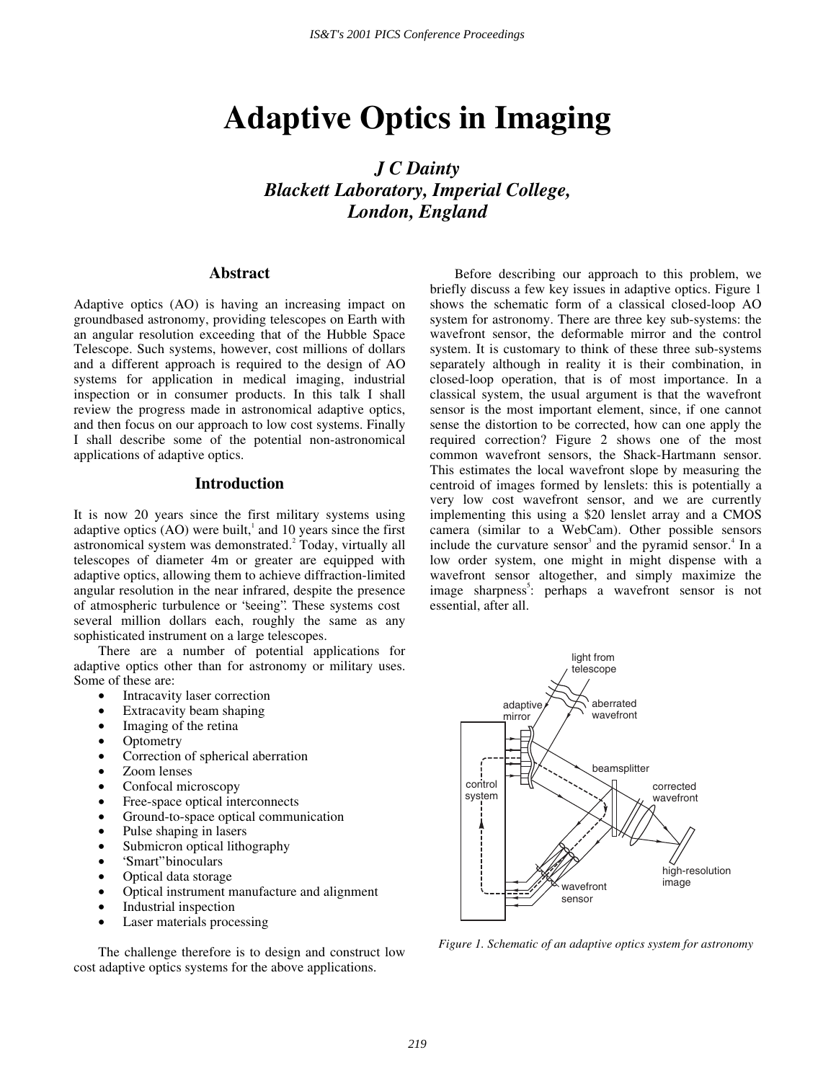# **Adaptive Optics in Imaging**

*J C Dainty Blackett Laboratory, Imperial College, London, England* 

## **Abstract**

Adaptive optics (AO) is having an increasing impact on groundbased astronomy, providing telescopes on Earth with an angular resolution exceeding that of the Hubble Space Telescope. Such systems, however, cost millions of dollars and a different approach is required to the design of AO systems for application in medical imaging, industrial inspection or in consumer products. In this talk I shall review the progress made in astronomical adaptive optics, and then focus on our approach to low cost systems. Finally I shall describe some of the potential non-astronomical applications of adaptive optics.

## **Introduction**

It is now 20 years since the first military systems using adaptive optics  $(AO)$  were built,<sup>1</sup> and 10 years since the first astronomical system was demonstrated.<sup>2</sup> Today, virtually all telescopes of diameter 4m or greater are equipped with adaptive optics, allowing them to achieve diffraction-limited angular resolution in the near infrared, despite the presence of atmospheric turbulence or "seeing". These systems cost several million dollars each, roughly the same as any sophisticated instrument on a large telescopes.

There are a number of potential applications for adaptive optics other than for astronomy or military uses. Some of these are:

- Intracavity laser correction
- Extracavity beam shaping
- Imaging of the retina
- **Optometry**
- Correction of spherical aberration
- Zoom lenses
- Confocal microscopy
- Free-space optical interconnects
- Ground-to-space optical communication
- Pulse shaping in lasers
- Submicron optical lithography
- "Smart" binoculars
- Optical data storage
- Optical instrument manufacture and alignment
- Industrial inspection
- Laser materials processing

The challenge therefore is to design and construct low cost adaptive optics systems for the above applications.

Before describing our approach to this problem, we briefly discuss a few key issues in adaptive optics. Figure 1 shows the schematic form of a classical closed-loop AO system for astronomy. There are three key sub-systems: the wavefront sensor, the deformable mirror and the control system. It is customary to think of these three sub-systems separately although in reality it is their combination, in closed-loop operation, that is of most importance. In a classical system, the usual argument is that the wavefront sensor is the most important element, since, if one cannot sense the distortion to be corrected, how can one apply the required correction? Figure 2 shows one of the most common wavefront sensors, the Shack-Hartmann sensor. This estimates the local wavefront slope by measuring the centroid of images formed by lenslets: this is potentially a very low cost wavefront sensor, and we are currently implementing this using a \$20 lenslet array and a CMOS camera (similar to a WebCam). Other possible sensors include the curvature sensor<sup>3</sup> and the pyramid sensor.<sup>4</sup> In a low order system, one might in might dispense with a wavefront sensor altogether, and simply maximize the image sharpness<sup>5</sup>: perhaps a wavefront sensor is not essential, after all.



*Figure 1. Schematic of an adaptive optics system for astronomy*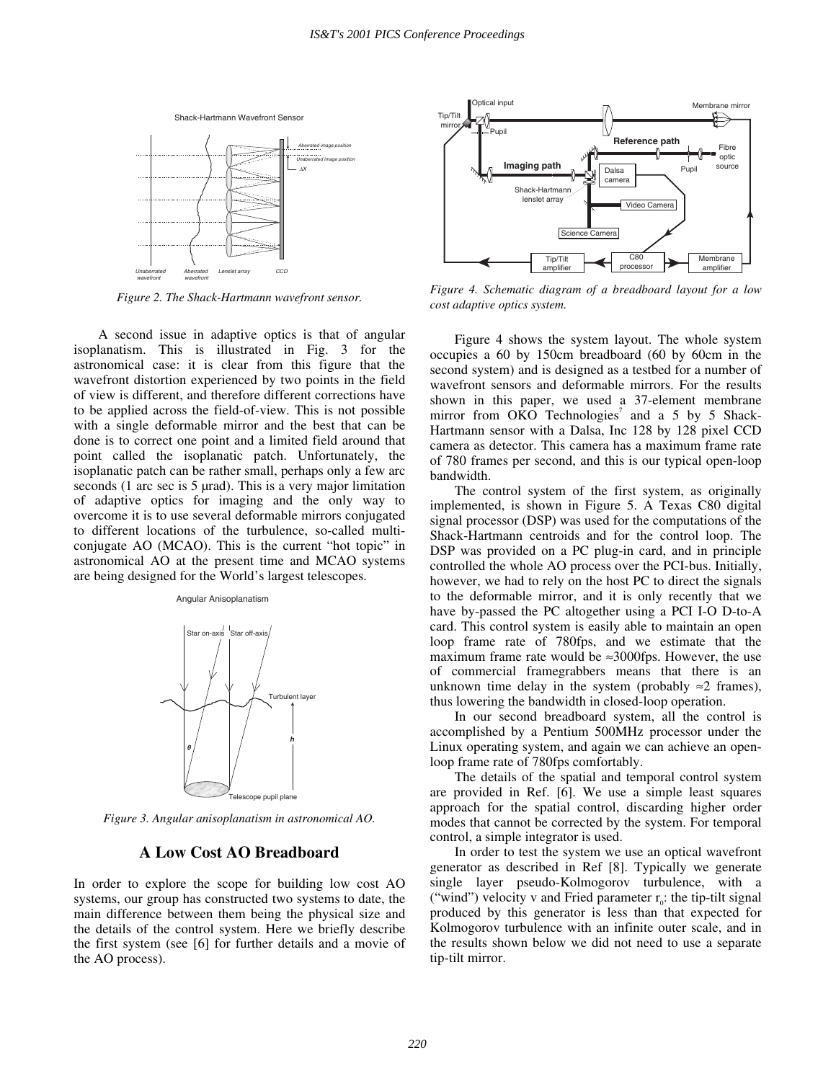

*Figure 2. The Shack-Hartmann wavefront sensor.* 

A second issue in adaptive optics is that of angular isoplanatism. This is illustrated in Fig. 3 for the astronomical case: it is clear from this figure that the wavefront distortion experienced by two points in the field of view is different, and therefore different corrections have to be applied across the field-of-view. This is not possible with a single deformable mirror and the best that can be done is to correct one point and a limited field around that point called the isoplanatic patch. Unfortunately, the isoplanatic patch can be rather small, perhaps only a few arc seconds (1 arc sec is 5 µrad). This is a very major limitation of adaptive optics for imaging and the only way to overcome it is to use several deformable mirrors conjugated to different locations of the turbulence, so-called multiconjugate AO (MCAO). This is the current "hot topic" in astronomical AO at the present time and MCAO systems are being designed for the World's largest telescopes.

#### Angular Anisoplanatism



*Figure 3. Angular anisoplanatism in astronomical AO.* 

## **A Low Cost AO Breadboard**

In order to explore the scope for building low cost AO systems, our group has constructed two systems to date, the main difference between them being the physical size and the details of the control system. Here we briefly describe the first system (see [6] for further details and a movie of the AO process).



*Figure 4. Schematic diagram of a breadboard layout for a low cost adaptive optics system.* 

Figure 4 shows the system layout. The whole system occupies a 60 by 150cm breadboard (60 by 60cm in the second system) and is designed as a testbed for a number of wavefront sensors and deformable mirrors. For the results shown in this paper, we used a 37-element membrane mirror from OKO Technologies<sup>7</sup> and a 5 by 5 Shack-Hartmann sensor with a Dalsa, Inc 128 by 128 pixel CCD camera as detector. This camera has a maximum frame rate of 780 frames per second, and this is our typical open-loop bandwidth.

The control system of the first system, as originally implemented, is shown in Figure 5. A Texas C80 digital signal processor (DSP) was used for the computations of the Shack-Hartmann centroids and for the control loop. The DSP was provided on a PC plug-in card, and in principle controlled the whole AO process over the PCI-bus. Initially, however, we had to rely on the host PC to direct the signals to the deformable mirror, and it is only recently that we have by-passed the PC altogether using a PCI I-O D-to-A card. This control system is easily able to maintain an open loop frame rate of 780fps, and we estimate that the maximum frame rate would be  $\approx 3000$  fps. However, the use of commercial framegrabbers means that there is an unknown time delay in the system (probably  $\approx$ 2 frames), thus lowering the bandwidth in closed-loop operation.

In our second breadboard system, all the control is accomplished by a Pentium 500MHz processor under the Linux operating system, and again we can achieve an openloop frame rate of 780fps comfortably.

The details of the spatial and temporal control system are provided in Ref. [6]. We use a simple least squares approach for the spatial control, discarding higher order modes that cannot be corrected by the system. For temporal control, a simple integrator is used.

In order to test the system we use an optical wavefront generator as described in Ref [8]. Typically we generate single layer pseudo-Kolmogorov turbulence, with a ("wind") velocity v and Fried parameter  $r_0$ : the tip-tilt signal produced by this generator is less than that expected for Kolmogorov turbulence with an infinite outer scale, and in the results shown below we did not need to use a separate tip-tilt mirror.